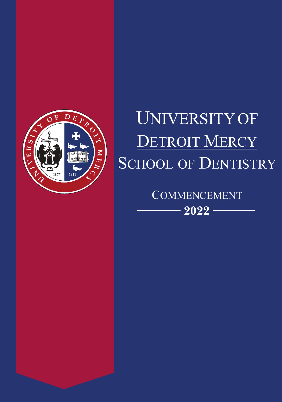

# UNIVERSITY OF DETROIT MERCY SCHOOL OF DENTISTRY

**COMMENCEMENT** - 2022 -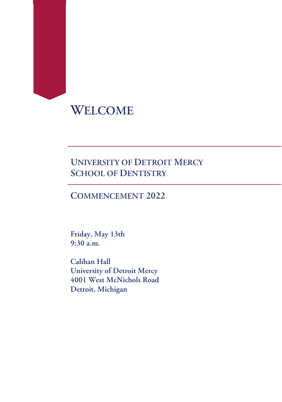# **WELCOME**

#### **UNIVERSITY OF DETROIT MERCY SCHOOL OF DENTISTRY**

#### **COMMENCEMENT 2022**

**Friday, May 13th 9:30 a.m.** 

**Calihan Hall University of Detroit Mercy 4001 West McNichols Road Detroit, Michigan**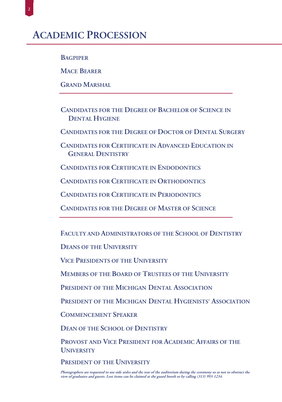| <b>BAGPIPE</b><br>R |
|---------------------|
|---------------------|

**MACE BEARER** 

**GRAND MARSHAL** 

**CANDIDATES FOR THE DEGREE OF BACHELOR OF SCIENCE IN DENTAL HYGIENE** 

**CANDIDATES FOR THE DEGREE OF DOCTOR OF DENTAL SURGERY** 

**CANDIDATES FOR CERTIFICATE IN ADVANCED EDUCATION IN GENERAL DENTISTRY** 

**CANDIDATES FOR CERTIFICATE IN ENDODONTICS** 

**CANDIDATES FOR CERTIFICATE IN ORTHODONTICS** 

**CANDIDATES FOR CERTIFICATE IN PERIODONTICS** 

**CANDIDATES FOR THE DEGREE OF MASTER OF SCIENCE** 

FACULTY AND ADMINISTRATORS OF THE SCHOOL OF DENTISTRY

**DEANS OF THE UNIVERSITY** 

**VICE PRESIDENTS OF THE UNIVERSITY** 

**MEMBERS OF THE BOARD OF TRUSTEES OF THE UNIVERSITY** 

PRESIDENT OF THE MICHIGAN DENTAL ASSOCIATION

PRESIDENT OF THE MICHIGAN DENTAL HYGIENISTS' ASSOCIATION

**COMMENCEMENT SPEAKER** 

**DEAN OF THE SCHOOL OF DENTISTRY** 

PROVOST AND VICE PRESIDENT FOR ACADEMIC AFFAIRS OF THE **UNIVERSITY** 

PRESIDENT OF THE UNIVERSITY

Photographers are requested to use side aisles and the rear of the auditorium during the ceremony so as not to obstruct the view of graduates and guests. Lost items can be claimed at the guard booth or by calling (313) 993-1234.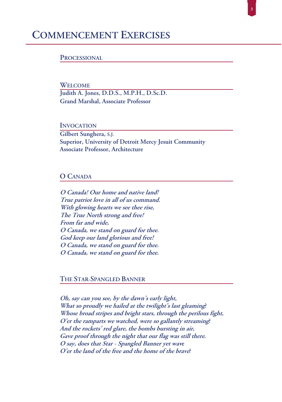#### **COMMENCEMENT EXERCISES**

#### **PROCESSIONAL**

**WELCOME** Judith A. Jones, D.D.S., M.P.H., D.Sc.D. **Grand Marshal, Associate Professor** 

**INVOCATION** Gilbert Sunghera, S.J. Superior, University of Detroit Mercy Jesuit Community **Associate Professor, Architecture** 

#### **O CANADA**

O Canada! Our home and native land! True patriot love in all of us command. With glowing hearts we see thee rise, The True North strong and free! From far and wide, O Canada, we stand on guard for thee. God keep our land glorious and free! O Canada, we stand on guard for thee. O Canada, we stand on guard for thee.

THE STAR-SPANGLED BANNER

Oh, say can you see, by the dawn's early light, What so proudly we hailed at the twilight's last gleaming? Whose broad stripes and bright stars, through the perilous fight, O'er the ramparts we watched, were so gallantly streaming? And the rockets' red glare, the bombs bursting in air, Gave proof through the night that our flag was still there. O say, does that Star - Spangled Banner yet wave O'er the land of the free and the home of the brave?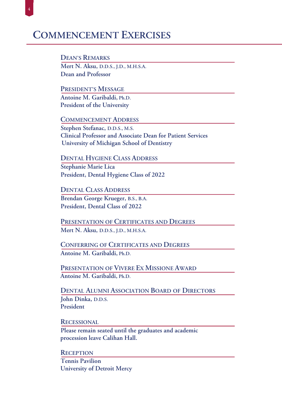# **COMMENCEMENT EXERCISES**

**DEAN'S REMARKS** Mert N. Aksu, D.D.S., J.D., M.H.S.A. Dean and Professor

PRESIDENT'S MESSAGE Antoine M. Garibaldi, Ph.D. President of the University

**COMMENCEMENT ADDRESS** Stephen Stefanac, D.D.S., M.S. **Clinical Professor and Associate Dean for Patient Services** University of Michigan School of Dentistry

**DENTAL HYGIENE CLASS ADDRESS** Stephanie Marie Lica President, Dental Hygiene Class of 2022

**DENTAL CLASS ADDRESS** Brendan George Krueger, B.S., B.A. President, Dental Class of 2022

PRESENTATION OF CERTIFICATES AND DEGREES Mert N. Aksu, D.D.S., J.D., M.H.S.A.

**CONFERRING OF CERTIFICATES AND DEGREES** Antoine M. Garibaldi, Ph.D.

PRESENTATION OF VIVERE EX MISSIONE AWARD Antoine M. Garibaldi, Ph.D.

**DENTAL ALUMNI ASSOCIATION BOARD OF DIRECTORS** John Dinka, D.D.S. President

**RECESSIONAL** 

Please remain seated until the graduates and academic procession leave Calihan Hall.

**RECEPTION Tennis Pavilion University of Detroit Mercy**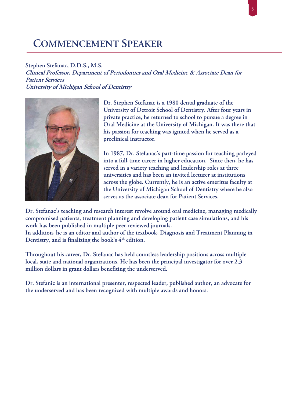# **COMMENCEMENT SPEAKER**

#### Stephen Stefanac, D.D.S., M.S.

Clinical Professor, Department of Periodontics and Oral Medicine & Associate Dean for **Patient Services** University of Michigan School of Dentistry



Dr. Stephen Stefanac is a 1980 dental graduate of the University of Detroit School of Dentistry. After four years in private practice, he returned to school to pursue a degree in Oral Medicine at the University of Michigan. It was there that his passion for teaching was ignited when he served as a preclinical instructor.

In 1987, Dr. Stefanac's part-time passion for teaching parleyed into a full-time career in higher education. Since then, he has served in a variety teaching and leadership roles at three universities and has been an invited lecturer at institutions across the globe. Currently, he is an active emeritus faculty at the University of Michigan School of Dentistry where he also serves as the associate dean for Patient Services.

Dr. Stefanac's teaching and research interest revolve around oral medicine, managing medically compromised patients, treatment planning and developing patient case simulations, and his work has been published in multiple peer-reviewed journals.

In addition, he is an editor and author of the textbook, Diagnosis and Treatment Planning in Dentistry, and is finalizing the book's 4<sup>th</sup> edition.

Throughout his career, Dr. Stefanac has held countless leadership positions across multiple local, state and national organizations. He has been the principal investigator for over 2.3 million dollars in grant dollars benefiting the underserved.

Dr. Stefanic is an international presenter, respected leader, published author, an advocate for the underserved and has been recognized with multiple awards and honors.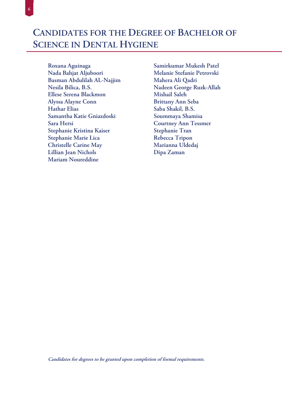# **CANDIDATES FOR THE DEGREE OF BACHELOR OF SCIENCE IN DENTAL HYGIENE**

Roxana Aguinaga Nada Bahjat Aljuboori Basman Abdulilah AL-Najjim Nesila Bilica, B.S. Ellese Serena Blackmon Alyssa Alayne Conn **Hathar Elias** Samantha Katie Gniazdoski Sara Hersi Stephanie Kristina Kaiser Stephanie Marie Lica **Christelle Carine May** Lillian Jean Nichols **Mariam Noureddine** 

 $\overline{6}$ 

Samirkumar Mukesh Patel Melanie Stefanie Petrovski Mahera Ali Qadri Nadeen George Ruzk-Allah Mishail Saleh **Brittany Ann Seba** Saba Shakil, B.S. Soummaya Shamisa **Courtney Ann Tessmer** Stephanie Tran Rebecca Tripon Marianna Uldedaj Dipa Zaman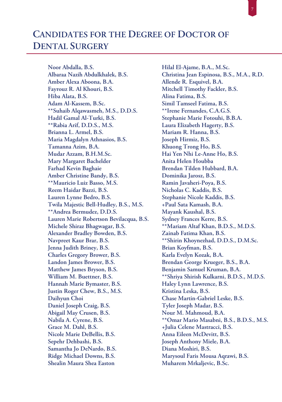## **CANDIDATES FOR THE DEGREE OF DOCTOR OF DENTAL SURGERY**

Noor Abdalla, B.S. Albaraa Nazih Abdulkhalek, B.S. Amber Alexa Aboona, B.A. Fayrouz R. Al Khouri, B.S. Hiba Alata, B.S. Adam Al-Kassem, B.Sc. \*\*Suhaib Alqawasmeh, M.S., D.D.S. Hadil Gamal Al-Turki, B.S. \*\*Rabia Arif, D.D.S., M.S. Brianna L. Armel, B.S. Maria Magdalyn Athnasios, B.S. Tamanna Azim, B.A. Mudar Azzam, B.H.M.Sc. Mary Margaret Bachelder **Farhad Kevin Baghaie** Amber Christine Bandy, B.S. \*\*Mauricio Luiz Basso, M.S. Reem Haidar Bazzi, B.S. Lauren Lynne Bedro, B.S. Twila Majestic Bell-Hudley, B.S., M.S. \*\*Andrea Bermudez, D.D.S. Lauren Marie Robertson Bevilacqua, B.S. Michele Shiraz Bhagwagar, B.S. Alexander Bradley Bowden, B.S. Navpreet Kaur Brar, B.S. Jenna Judith Briney, B.S. **Charles Gregory Brower, B.S.** Landon James Brower, B.S. Matthew James Bryson, B.S. William M. Buettner, B.S. Hannah Marie Bymaster, B.S. Justin Roger Chew, B.S., M.S. Daihyun Choi Daniel Joseph Craig, B.S. Abigail May Crusen, B.S. Nabila A. Cyrene, B.S. Grace M. Dahl, B.S. Nicole Marie DeBellis, B.S. Sepehr Dehbashi, B.S. Samantha Jo DeNardo, B.S. Ridge Michael Downs, B.S. Shealin Maura Shea Easton

Hilal El-Ajame, B.A., M.Sc. Christina Jean Espinosa, B.S., M.A., R.D. Allende R. Esquivel, B.A. Mitchell Timothy Fackler, B.S. Alina Fatima, B.S. Simil Tamseel Fatima, B.S. \*\*Irene Fernandes, C.A.G.S. Stephanie Marie Fotouhi, B.B.A. Laura Elizabeth Hagerty, B.S. Mariam R. Hanna, B.S. Joseph Hirmiz, B.S. Khuong Trong Ho, B.S. Hai Yen Nhi Le-Anne Ho, B.S. Anita Helen Houbba Brendan Tilden Hubbard, B.A. Dominika Jarosz, B.S. Ramin Javaheri-Poya, B.S. Nicholas C. Kaddis, B.S. Stephanie Nicole Kaddis, B.S. +Paul Sata Kamash, B.A. Mayank Kaushal, B.S. Sydney Frances Kerre, B.S. \*\*Mariam Altaf Khan, B.D.S., M.D.S. Zainab Fatima Khan, B.S. \*\*Shirin Khoynezhad, D.D.S., D.M.Sc. Brian Koyfman, B.S. Karla Evelyn Kozak, B.A. Brendan George Krueger, B.S., B.A. Benjamin Samuel Kruman, B.A. \*\* Shriya Shirish Kulkarni, B.D.S., M.D.S. Haley Lynn Lawrence, B.S. Kristina Leska, B.S. Chase Martin-Gabriel Leske, B.S. Tyler Joseph Madar, B.S. Nour M. Mahmoud, B.A. \*\*Omar Mario Masabni, B.S., B.D.S., M.S. +Julia Celene Mastracci, B.S. Anna Eileen McDevitt, B.S. Joseph Anthony Miele, B.A. Diana Moshiri, B.S. Marysoul Faris Mousa Aqrawi, B.S. Muharem Mrkaljevic, B.Sc.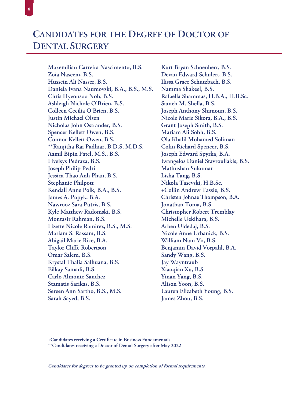# **CANDIDATES FOR THE DEGREE OF DOCTOR OF DENTAL SURGERY**

Maxemilian Carreira Nascimento, B.S. Zoia Naseem, B.S. Hussein Ali Nasser, B.S. Daniela Ivana Naumovski, B.A., B.S., M.S. Chris Hyeonsoo Noh, B.S. Ashleigh Nichole O'Brien, B.S. Colleen Cecilia O'Brien, B.S. **Justin Michael Olsen** Nicholas John Ostrander, B.S. Spencer Kellett Owen, B.S. Connor Kellett Owen, B.S. \*\*Ranjitha Rai Padhiar, B.D.S, M.D.S. Aamil Bipin Patel, M.S., B.S. Liveisys Pedraza, B.S. **Joseph Philip Pedri** Jessica Thao Anh Phan, B.S. **Stephanie Philpott** Kendall Anne Polk, B.A., B.S. James A. Popyk, B.A. Nawrooz Sara Putris, B.S. Kyle Matthew Radomski, B.S. Montasir Rahman, B.S. Lizette Nicole Ramirez, B.S., M.S. Mariam S. Rassam, B.S. Abigail Marie Rice, B.A. **Taylor Cliffe Robertson** Omar Salem, B.S. Krystal Thalia Salhuana, B.S. Eilkay Samadi, B.S. **Carlo Almonte Sanchez** Stamatis Sarikas, B.S. Sereen Ann Sartho, B.S., M.S. Sarah Sayed, B.S.

 $\overline{8}$ 

Kurt Bryan Schoenherr, B.S. Devan Edward Schulert, B.S. Ilissa Grace Schutzbach, B.S. Namma Shakeel, B.S. Rafaella Shammas, H.B.A., H.B.Sc. Sameh M. Shella, B.S. Joseph Anthony Shimoun, B.S. Nicole Marie Sikora, B.A., B.S. Grant Joseph Smith, B.S. Mariam Ali Sobh, B.S. Ola Khalil Mohamed Soliman Colin Richard Spencer, B.S. Joseph Edward Spyrka, B.A. Evangelos Daniel Stavroullakis, B.S. Mathushan Sukumar Lisha Tang, B.S. Nikola Tasevski, H.B.Sc. +Collin Andrew Tassie, B.S. Christen Johnae Thompson, B.A. Jonathan Toma, B.S. **Christopher Robert Tremblay** Michelle Uekihara, B.S. Arben Uldedaj, B.S. Nicole Anne Urbanick, B.S. William Nam Vo, B.S. Benjamin David Vorpahl, B.A. Sandy Wang, B.S. Jay Wayntraub Xiaoqian Xu, B.S. Yinan Yang, B.S. Alison Yoon, B.S. Lauren Elizabeth Young, B.S. James Zhou, B.S.

+Candidates receiving a Certificate in Business Fundamentals

\*\* Candidates receiving a Doctor of Dental Surgery after May 2022

Candidates for degrees to be granted up on completion of formal requirements.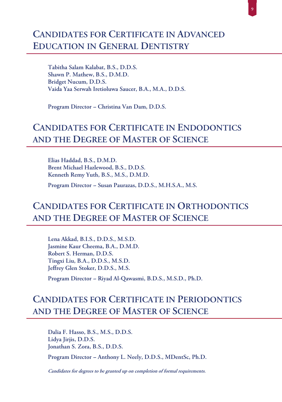### **CANDIDATES FOR CERTIFICATE IN ADVANCED EDUCATION IN GENERAL DENTISTRY**

Tabitha Salam Kalabat, B.S., D.D.S. Shawn P. Mathew, B.S., D.M.D. Bridget Nucum, D.D.S. Vaida Yaa Serwah Iretioluwa Saucer, B.A., M.A., D.D.S.

Program Director - Christina Van Dam, D.D.S.

#### **CANDIDATES FOR CERTIFICATE IN ENDODONTICS** AND THE DEGREE OF MASTER OF SCIENCE

Elias Haddad, B.S., D.M.D. Brent Michael Hazlewood, B.S., D.D.S. Kenneth Remy Yuth, B.S., M.S., D.M.D.

Program Director - Susan Paurazas, D.D.S., M.H.S.A., M.S.

## **CANDIDATES FOR CERTIFICATE IN ORTHODONTICS** AND THE DEGREE OF MASTER OF SCIENCE

Lena Akkad, B.I.S., D.D.S., M.S.D. Jasmine Kaur Cheema, B.A., D.M.D. Robert S. Herman, D.D.S. Tingxi Liu, B.A., D.D.S., M.S.D. Jeffrey Glen Stoker, D.D.S., M.S.

Program Director - Riyad Al-Qawasmi, B.D.S., M.S.D., Ph.D.

## **CANDIDATES FOR CERTIFICATE IN PERIODONTICS** AND THE DEGREE OF MASTER OF SCIENCE

Dalia F. Hasso, B.S., M.S., D.D.S. Lidya Jirjis, D.D.S. Jonathan S. Zora, B.S., D.D.S.

Program Director - Anthony L. Neely, D.D.S., MDentSc, Ph.D.

Candidates for degrees to be granted up on completion of formal requirements.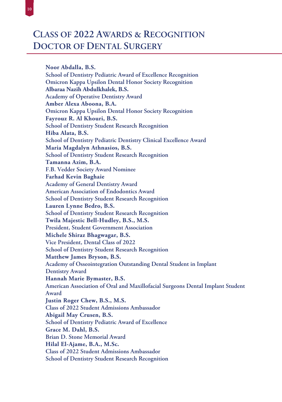Noor Abdalla, B.S. School of Dentistry Pediatric Award of Excellence Recognition **Omicron Kappa Upsilon Dental Honor Society Recognition** Albaraa Nazih Abdulkhalek, B.S. **Academy of Operative Dentistry Award** Amber Alexa Aboona, B.A. **Omicron Kappa Upsilon Dental Honor Society Recognition** Fayrouz R. Al Khouri, B.S. **School of Dentistry Student Research Recognition** Hiba Alata, B.S. **School of Dentistry Pediatric Dentistry Clinical Excellence Award** Maria Magdalyn Athnasios, B.S. **School of Dentistry Student Research Recognition** Tamanna Azim, B.A. F.B. Vedder Society Award Nominee **Farhad Kevin Baghaie Academy of General Dentistry Award** American Association of Endodontics Award School of Dentistry Student Research Recognition Lauren Lynne Bedro, B.S. **School of Dentistry Student Research Recognition** Twila Majestic Bell-Hudley, B.S., M.S. **President, Student Government Association** Michele Shiraz Bhagwagar, B.S. Vice President, Dental Class of 2022 **School of Dentistry Student Research Recognition** Matthew James Bryson, B.S. Academy of Osseointegration Outstanding Dental Student in Implant **Dentistry Award** Hannah Marie Bymaster, B.S. American Association of Oral and Maxillofacial Surgeons Dental Implant Student Award Justin Roger Chew, B.S., M.S. **Class of 2022 Student Admissions Ambassador** Abigail May Crusen, B.S. School of Dentistry Pediatric Award of Excellence Grace M. Dahl, B.S. Brian D. Stone Memorial Award Hilal El-Ajame, B.A., M.Sc. **Class of 2022 Student Admissions Ambassador School of Dentistry Student Research Recognition**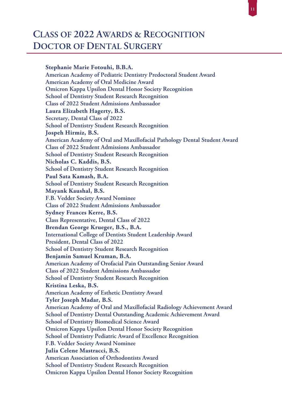Stephanie Marie Fotouhi, B.B.A. American Academy of Pediatric Dentistry Predoctoral Student Award American Academy of Oral Medicine Award **Omicron Kappa Upsilon Dental Honor Society Recognition School of Dentistry Student Research Recognition Class of 2022 Student Admissions Ambassador** Laura Elizabeth Hagerty, B.S. Secretary, Dental Class of 2022 **School of Dentistry Student Research Recognition** Jospeh Hirmiz, B.S. American Academy of Oral and Maxillofacial Pathology Dental Student Award **Class of 2022 Student Admissions Ambassador School of Dentistry Student Research Recognition** Nicholas C. Kaddis, B.S. **School of Dentistry Student Research Recognition** Paul Sata Kamash, B.A. **School of Dentistry Student Research Recognition** Mayank Kaushal, B.S. F.B. Vedder Society Award Nominee **Class of 2022 Student Admissions Ambassador Sydney Frances Kerre, B.S.** Class Representative, Dental Class of 2022 Brendan George Krueger, B.S., B.A. **International College of Dentists Student Leadership Award** President, Dental Class of 2022 **School of Dentistry Student Research Recognition** Benjamin Samuel Kruman, B.A. American Academy of Orofacial Pain Outstanding Senior Award **Class of 2022 Student Admissions Ambassador School of Dentistry Student Research Recognition** Kristina Leska, B.S. American Academy of Esthetic Dentistry Award Tyler Joseph Madar, B.S. American Academy of Oral and Maxillofacial Radiology Achievement Award **School of Dentistry Dental Outstanding Academic Achievement Award School of Dentistry Biomedical Science Award Omicron Kappa Upsilon Dental Honor Society Recognition** School of Dentistry Pediatric Award of Excellence Recognition F.B. Vedder Society Award Nominee Julia Celene Mastracci, B.S. American Association of Orthodontists Award **School of Dentistry Student Research Recognition Omicron Kappa Upsilon Dental Honor Society Recognition**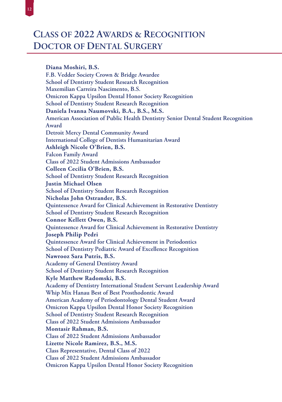Diana Moshiri, B.S. F.B. Vedder Society Crown & Bridge Awardee **School of Dentistry Student Research Recognition** Maxemilian Carreira Nascimento, B.S. **Omicron Kappa Upsilon Dental Honor Society Recognition School of Dentistry Student Research Recognition** Daniela Ivanna Naumovski, B.A., B.S., M.S. American Association of Public Health Dentistry Senior Dental Student Recognition Award **Detroit Mercy Dental Community Award International College of Dentists Humanitarian Award** Ashleigh Nicole O'Brien, B.S. **Falcon Family Award Class of 2022 Student Admissions Ambassador** Colleen Cecilia O'Brien, B.S. **School of Dentistry Student Research Recognition Justin Michael Olsen School of Dentistry Student Research Recognition** Nicholas John Ostrander, B.S. Quintessence Award for Clinical Achievement in Restorative Dentistry **School of Dentistry Student Research Recognition Connor Kellett Owen, B.S.** Quintessence Award for Clinical Achievement in Restorative Dentistry **Joseph Philip Pedri** Quintessence Award for Clinical Achievement in Periodontics School of Dentistry Pediatric Award of Excellence Recognition Nawrooz Sara Putris, B.S. **Academy of General Dentistry Award School of Dentistry Student Research Recognition** Kyle Matthew Radomski, B.S. Academy of Dentistry International Student Servant Leadership Award Whip Mix Hanau Best of Best Prosthodontic Award **American Academy of Periodontology Dental Student Award Omicron Kappa Upsilon Dental Honor Society Recognition School of Dentistry Student Research Recognition Class of 2022 Student Admissions Ambassador Montasir Rahman, B.S. Class of 2022 Student Admissions Ambassador** Lizette Nicole Ramirez, B.S., M.S. Class Representative, Dental Class of 2022 Class of 2022 Student Admissions Ambassador **Omicron Kappa Upsilon Dental Honor Society Recognition**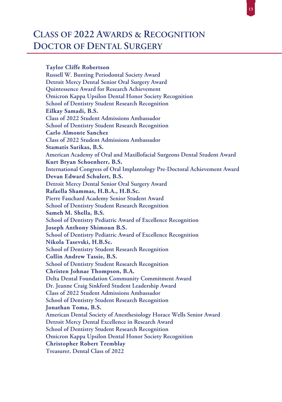**Taylor Cliffe Robertson Russell W. Bunting Periodontal Society Award** Detroit Mercy Dental Senior Oral Surgery Award Quintessence Award for Research Achievement **Omicron Kappa Upsilon Dental Honor Society Recognition School of Dentistry Student Research Recognition** Eilkay Samadi, B.S. **Class of 2022 Student Admissions Ambassador School of Dentistry Student Research Recognition Carlo Almonte Sanchez Class of 2022 Student Admissions Ambassador Stamatis Sarikas, B.S.** American Academy of Oral and Maxillofacial Surgeons Dental Student Award Kurt Bryan Schoenherr, B.S. International Congress of Oral Implantology Pre-Doctoral Achievement Award Devan Edward Schulert, B.S. Detroit Mercy Dental Senior Oral Surgery Award Rafaella Shammas, H.B.A., H.B.Sc. Pierre Fauchard Academy Senior Student Award **School of Dentistry Student Research Recognition** Sameh M. Shella, B.S. School of Dentistry Pediatric Award of Excellence Recognition **Joseph Anthony Shimoun B.S.** School of Dentistry Pediatric Award of Excellence Recognition Nikola Tasevski, H.B.Sc. **School of Dentistry Student Research Recognition Collin Andrew Tassie, B.S. School of Dentistry Student Research Recognition** Christen Johnae Thompson, B.A. **Delta Dental Foundation Community Commitment Award** Dr. Jeanne Craig Sinkford Student Leadership Award Class of 2022 Student Admissions Ambassador **School of Dentistry Student Research Recognition** Jonathan Toma, B.S. American Dental Society of Anesthesiology Horace Wells Senior Award Detroit Mercy Dental Excellence in Research Award **School of Dentistry Student Research Recognition Omicron Kappa Upsilon Dental Honor Society Recognition Christopher Robert Tremblay Treasurer, Dental Class of 2022**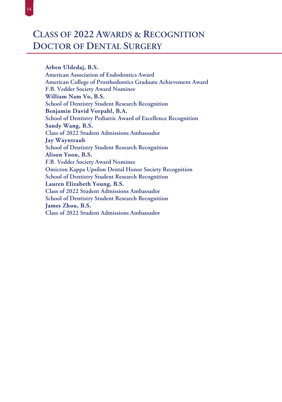$14\,$ 

Arben Uldedaj, B.S. American Association of Endodontics Award American College of Prosthodontics Graduate Achievement Award F.B. Vedder Society Award Nominee William Nam Vo, B.S. School of Dentistry Student Research Recognition Benjamin David Vorpahl, B.A. School of Dentistry Pediatric Award of Excellence Recognition Sandy Wang, B.S. Class of 2022 Student Admissions Ambassador **Jay Wayntraub School of Dentistry Student Research Recognition** Alison Yoon, B.S. F.B. Vedder Society Award Nominee **Omicron Kappa Upsilon Dental Honor Society Recognition School of Dentistry Student Research Recognition** Lauren Elizabeth Young, B.S. Class of 2022 Student Admissions Ambassador **School of Dentistry Student Research Recognition** James Zhou, B.S. Class of 2022 Student Admissions Ambassador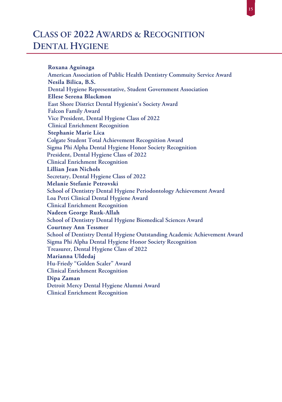### **CLASS OF 2022 AWARDS & RECOGNITION DENTAL HYGIENE**

**Roxana Aguinaga American Association of Public Health Dentistry Commuity Service Award Nesila Bilica, B.S. Dental Hygiene Representative, Student Government Association Ellese Serena Blackmon East Shore District Dental Hygienist's Society Award Falcon Family Award Vice President, Dental Hygiene Class of 2022 Clinical Enrichment Recognition Stephanie Marie Lica Colgate Student Total Achievement Recognition Award Sigma Phi Alpha Dental Hygiene Honor Society Recognition President, Dental Hygiene Class of 2022 Clinical Enrichment Recognition Lillian Jean Nichols Secretary, Dental Hygiene Class of 2022 Melanie Stefanie Petrovski School of Dentistry Dental Hygiene Periodontology Achievement Award Loa Petri Clinical Dental Hygiene Award Clinical Enrichment Recognition Nadeen George Ruzk-Allah School of Dentistry Dental Hygiene Biomedical Sciences Award Courtney Ann Tessmer School of Dentistry Dental Hygiene Outstanding Academic Achievement Award Sigma Phi Alpha Dental Hygiene Honor Society Recognition Treasurer, Dental Hygiene Class of 2022 Marianna Uldedaj Hu-Friedy ''Golden Scaler'' Award Clinical Enrichment Recognition Dipa Zaman Detroit Mercy Dental Hygiene Alumni Award Clinical Enrichment Recognition**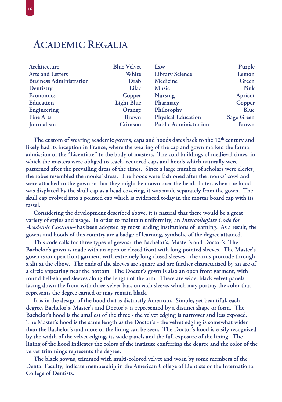#### **ACADEMIC REGALIA**

| Architecture<br>Arts and Letters | <b>Blue Velvet</b><br>White | Law<br><b>Library Science</b> | Purple<br>Lemon   |
|----------------------------------|-----------------------------|-------------------------------|-------------------|
| <b>Business Administration</b>   | Drab                        | Medicine                      | Green             |
| Dentistry                        | Lilac                       | <b>Music</b>                  | Pink              |
| <b>Economics</b>                 | Copper                      | <b>Nursing</b>                | Apricot           |
| Education                        | <b>Light Blue</b>           | Pharmacy                      | Copper            |
| Engineering                      | Orange                      | Philosophy                    | Blue              |
| <b>Fine Arts</b>                 | <b>Brown</b>                | <b>Physical Education</b>     | <b>Sage Green</b> |
| Journalism                       | Crimson                     | <b>Public Administration</b>  | <b>Brown</b>      |

The custom of wearing academic gowns, caps and hoods dates back to the 12<sup>th</sup> century and **likely had its inception in France, where the wearing of the cap and gown marked the formal admission of the ''Licentiate'' to the body of masters. The cold buildings of medieval times, in which the masters were obliged to teach, required caps and hoods which naturally were patterned after the prevailing dress of the times. Since a large number of scholars were clerics, the robes resembled the monks' dress. The hoods were fashioned after the monks' cowl and were attached to the gown so that they might be drawn over the head. Later, when the hood was displaced by the skull cap as a head covering, it was made separately from the gown. The skull cap evolved into a pointed cap which is evidenced today in the mortar board cap with its tassel.** 

**Considering the development described above, it is natural that there would be a great variety of styles and usage. In order to maintain uniformity, an Intercollegiate Code for Academic Costumes has been adopted by most leading institutions of learning. As a result, the gowns and hoods of this country are a badge of learning, symbolic of the degree attained.**

**This code calls for three types of gowns: the Bachelor's, Master's and Doctor's. The Bachelor's gown is made with an open or closed front with long pointed sleeves. The Master's gown is an open front garment with extremely long closed sleeves - the arms protrude through a slit at the elbow. The ends of the sleeves are square and are further characterized by an arc of a circle appearing near the bottom. The Doctor's gown is also an open front garment, with round bell-shaped sleeves along the length of the arm. There are wide, black velvet panels facing down the front with three velvet bars on each sleeve, which may portray the color that represents the degree earned or may remain black.**

**It is in the design of the hood that is distinctly American. Simple, yet beautiful, each degree, Bachelor's, Master's and Doctor's, is represented by a distinct shape or form. The Bachelor's hood is the smallest of the three - the velvet edging is narrower and less exposed. The Master's hood is the same length as the Doctor's - the velvet edging is somewhat wider than the Bachelor's and more of the lining can be seen. The Doctor's hood is easily recognized by the width of the velvet edging, its wide panels and the full exposure of the lining. The lining of the hood indicates the colors of the institute conferring the degree and the color of the velvet trimmings represents the degree.**

**The black gowns, trimmed with multi-colored velvet and worn by some members of the Dental Faculty, indicate membership in the American College of Dentists or the International College of Dentists.**